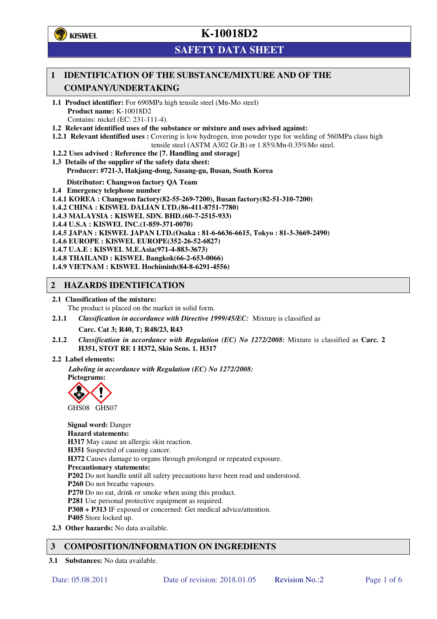**学**)KISWEL

# **K-10018D2**

## **SAFETY DATA SHEET**

## **1 IDENTIFICATION OF THE SUBSTANCE/MIXTURE AND OF THE COMPANY/UNDERTAKING**

- **1.1 Product identifier:** For 690MPa high tensile steel (Mn-Mo steel) **Product name:** K-10018D2 Contains: nickel (EC: 231-111-4).
- **1.2 Relevant identified uses of the substance or mixture and uses advised against:**
- **1.2.1 Relevant identified uses :** Covering is low hydrogen, iron powder type for welding of 560MPa class high tensile steel (ASTM A302 Gr.B) or 1.85%Mn-0.35%Mo steel.
- **1.2.2 Uses advised : Reference the [7. Handling and storage]**
- **1.3 Details of the supplier of the safety data sheet: Producer: #721-3, Hakjang-dong, Sasang-gu, Busan, South Korea**

**Distributor: Changwon factory QA Team** 

- **1.4 Emergency telephone number**
- **1.4.1 KOREA : Changwon factory(82-55-269-7200), Busan factory(82-51-310-7200)**
- **1.4.2 CHINA : KISWEL DALIAN LTD.(86-411-8751-7780)**
- **1.4.3 MALAYSIA : KISWEL SDN. BHD.(60-7-2515-933)**
- **1.4.4 U.S.A : KISWEL INC.(1-859-371-0070)**
- **1.4.5 JAPAN : KISWEL JAPAN LTD.(Osaka : 81-6-6636-6615, Tokyo : 81-3-3669-2490)**
- **1.4.6 EUROPE : KISWEL EUROPE(352-26-52-6827)**
- **1.4.7 U.A.E : KISWEL M.E.Asia(971-4-883-3673)**
- **1.4.8 THAILAND : KISWEL Bangkok(66-2-653-0066)**
- **1.4.9 VIETNAM : KISWEL Hochiminh(84-8-6291-4556)**

## **2 HAZARDS IDENTIFICATION**

- **2.1 Classification of the mixture:** 
	- The product is placed on the market in solid form.
- **2.1.1** *Classification in accordance with Directive 1999/45/EC:* Mixture is classified as

**Carc. Cat 3; R40, T; R48/23, R43** 

- **2.1.2** *Classification in accordance with Regulation (EC) No 1272/2008:* Mixture is classified as **Carc. 2 H351, STOT RE 1 H372, Skin Sens. 1. H317**
- **2.2 Label elements:**

*Labeling in accordance with Regulation (EC) No 1272/2008:*  **Pictograms:** 



**Signal word:** Danger **Hazard statements: H317** May cause an allergic skin reaction. **H351** Suspected of causing cancer. **H372** Causes damage to organs through prolonged or repeated exposure. **Precautionary statements: P202** Do not handle until all safety precautions have been read and understood. **P260** Do not breathe vapours. **P270** Do no eat, drink or smoke when using this product. **P281** Use personal protective equipment as required. **P308 + P313** IF exposed or concerned: Get medical advice/attention. **P405** Store locked up. **2.3 Other hazards:** No data available.

## **3 COMPOSITION/INFORMATION ON INGREDIENTS**

**3.1 Substances:** No data available.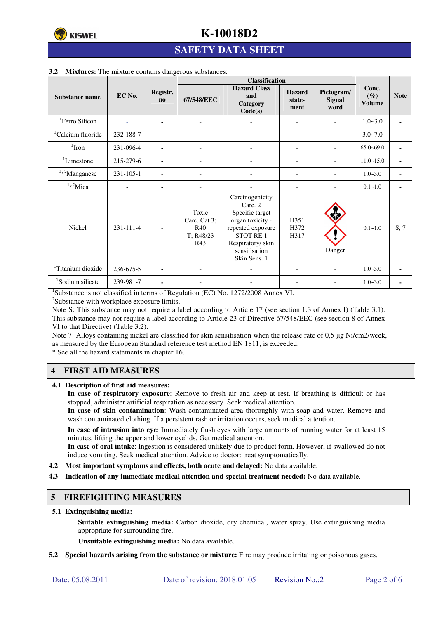# **K-10018D2**

## **SAFETY DATA SHEET**

|                               |                 |                       | <b>Classification</b>                            |                                                                                                                                                                |                                 |                              |                                  |                |
|-------------------------------|-----------------|-----------------------|--------------------------------------------------|----------------------------------------------------------------------------------------------------------------------------------------------------------------|---------------------------------|------------------------------|----------------------------------|----------------|
| Substance name                | EC No.          | Registr.<br>$\bf{no}$ | 67/548/EEC                                       | <b>Hazard Class</b><br>and<br>Category<br>Code(s)                                                                                                              | <b>Hazard</b><br>state-<br>ment | Pictogram/<br>Signal<br>word | Conc.<br>$(\%)$<br><b>Volume</b> | <b>Note</b>    |
| <sup>1</sup> Ferro Silicon    |                 | ٠                     | $\overline{\phantom{a}}$                         |                                                                                                                                                                | ۰                               |                              | $1.0 - 3.0$                      | ٠              |
| <sup>1</sup> Calcium fluoride | 232-188-7       |                       |                                                  |                                                                                                                                                                | $\overline{\phantom{0}}$        |                              | $3.0 - 7.0$                      |                |
| $1$ Iron                      | 231-096-4       | $\blacksquare$        |                                                  |                                                                                                                                                                |                                 |                              | $65.0 - 69.0$                    |                |
| ${}^{1}$ Limestone            | 215-279-6       | $\blacksquare$        | $\overline{\phantom{a}}$                         |                                                                                                                                                                | $\overline{\phantom{a}}$        |                              | $11.0 - 15.0$                    | $\blacksquare$ |
| $1,2$ Manganese               | $231 - 105 - 1$ | ۰                     |                                                  |                                                                                                                                                                | ۰                               |                              | $1.0 - 3.0$                      | $\blacksquare$ |
| $1,2$ Mica                    |                 | $\blacksquare$        |                                                  |                                                                                                                                                                |                                 |                              | $0.1 - 1.0$                      | ٠              |
| Nickel                        | 231-111-4       |                       | Toxic<br>Carc. Cat 3;<br>R40<br>T: R48/23<br>R43 | Carcinogenicity<br>Carc. 2<br>Specific target<br>organ toxicity -<br>repeated exposure<br><b>STOT RE1</b><br>Respiratory/skin<br>sensitisation<br>Skin Sens. 1 | H351<br>H372<br>H317            | Danger                       | $0.1 - 1.0$                      | S, 7           |
| <sup>1</sup> Titanium dioxide | 236-675-5       | $\blacksquare$        |                                                  |                                                                                                                                                                |                                 |                              | $1.0 - 3.0$                      |                |
| <sup>1</sup> Sodium silicate  | 239-981-7       | $\blacksquare$        |                                                  |                                                                                                                                                                |                                 |                              | $1.0 - 3.0$                      |                |

#### **3.2 Mixtures:** The mixture contains dangerous substances:

<sup>1</sup>Substance is not classified in terms of Regulation (EC) No. 1272/2008 Annex VI.

<sup>2</sup>Substance with workplace exposure limits.

Note S: This substance may not require a label according to Article 17 (see section 1.3 of Annex I) (Table 3.1). This substance may not require a label according to Article 23 of Directive 67/548/EEC (see section 8 of Annex VI to that Directive) (Table 3.2).

Note 7: Alloys containing nickel are classified for skin sensitisation when the release rate of 0,5 µg Ni/cm2/week, as measured by the European Standard reference test method EN 1811, is exceeded.

\* See all the hazard statements in chapter 16.

## **4 FIRST AID MEASURES**

**4.1 Description of first aid measures:** 

**In case of respiratory exposure**: Remove to fresh air and keep at rest. If breathing is difficult or has stopped, administer artificial respiration as necessary. Seek medical attention.

**In case of skin contamination**: Wash contaminated area thoroughly with soap and water. Remove and wash contaminated clothing. If a persistent rash or irritation occurs, seek medical attention.

 **In case of intrusion into eye**: Immediately flush eyes with large amounts of running water for at least 15 minutes, lifting the upper and lower eyelids. Get medical attention.

**In case of oral intake**: Ingestion is considered unlikely due to product form. However, if swallowed do not induce vomiting. Seek medical attention. Advice to doctor: treat symptomatically.

- **4.2 Most important symptoms and effects, both acute and delayed:** No data available.
- **4.3 Indication of any immediate medical attention and special treatment needed:** No data available.

#### **5 FIREFIGHTING MEASURES**

**5.1 Extinguishing media:** 

**Suitable extinguishing media:** Carbon dioxide, dry chemical, water spray. Use extinguishing media appropriate for surrounding fire.

**Unsuitable extinguishing media:** No data available.

**5.2 Special hazards arising from the substance or mixture:** Fire may produce irritating or poisonous gases.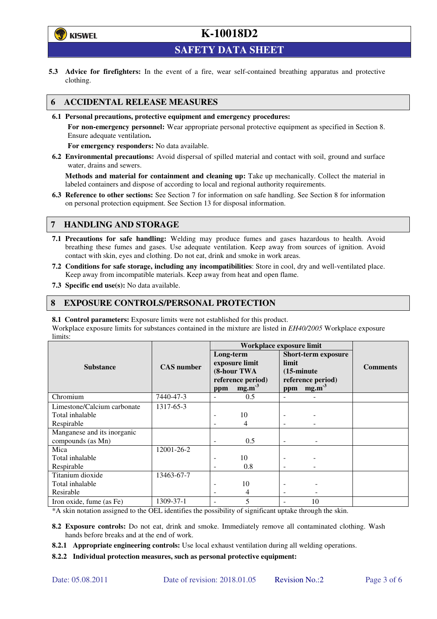

# **K-10018D2**

**SAFETY DATA SHEET** 

**5.3 Advice for firefighters:** In the event of a fire, wear self-contained breathing apparatus and protective clothing.

## **6 ACCIDENTAL RELEASE MEASURES**

**6.1 Personal precautions, protective equipment and emergency procedures:** 

**For non-emergency personnel:** Wear appropriate personal protective equipment as specified in Section 8. Ensure adequate ventilation**.** 

**For emergency responders:** No data available.

**6.2 Environmental precautions:** Avoid dispersal of spilled material and contact with soil, ground and surface water, drains and sewers.

**Methods and material for containment and cleaning up:** Take up mechanically. Collect the material in labeled containers and dispose of according to local and regional authority requirements.

**6.3 Reference to other sections:** See Section 7 for information on safe handling. See Section 8 for information on personal protection equipment. See Section 13 for disposal information.

## **7 HANDLING AND STORAGE**

- **7.1 Precautions for safe handling:** Welding may produce fumes and gases hazardous to health. Avoid breathing these fumes and gases. Use adequate ventilation. Keep away from sources of ignition. Avoid contact with skin, eyes and clothing. Do not eat, drink and smoke in work areas.
- **7.2 Conditions for safe storage, including any incompatibilities**: Store in cool, dry and well-ventilated place. Keep away from incompatible materials. Keep away from heat and open flame.
- **7.3 Specific end use(s):** No data available.

## **8 EXPOSURE CONTROLS/PERSONAL PROTECTION**

**8.1 Control parameters:** Exposure limits were not established for this product.

Workplace exposure limits for substances contained in the mixture are listed in *EH40/2005* Workplace exposure limits:

|                             | <b>CAS</b> number | Workplace exposure limit                                        |                   |                                                                                  |                   |                 |  |
|-----------------------------|-------------------|-----------------------------------------------------------------|-------------------|----------------------------------------------------------------------------------|-------------------|-----------------|--|
|                             |                   | Long-term<br>exposure limit<br>(8-hour TWA<br>reference period) |                   | <b>Short-term exposure</b><br>limit<br>$(15\text{-minute})$<br>reference period) |                   | <b>Comments</b> |  |
| <b>Substance</b>            |                   |                                                                 |                   |                                                                                  |                   |                 |  |
|                             |                   |                                                                 |                   |                                                                                  |                   |                 |  |
|                             |                   |                                                                 |                   |                                                                                  |                   |                 |  |
|                             |                   | ppm                                                             | mg.m <sup>3</sup> | ppm                                                                              | mg.m <sup>3</sup> |                 |  |
| Chromium                    | 7440-47-3         |                                                                 | 0.5               |                                                                                  |                   |                 |  |
| Limestone/Calcium carbonate | 1317-65-3         |                                                                 |                   |                                                                                  |                   |                 |  |
| Total inhalable             |                   |                                                                 | 10                |                                                                                  |                   |                 |  |
| Respirable                  |                   |                                                                 | 4                 |                                                                                  |                   |                 |  |
| Manganese and its inorganic |                   |                                                                 |                   |                                                                                  |                   |                 |  |
| compounds (as Mn)           |                   |                                                                 | 0.5               |                                                                                  |                   |                 |  |
| Mica                        | 12001-26-2        |                                                                 |                   |                                                                                  |                   |                 |  |
| Total inhalable             |                   |                                                                 | 10                |                                                                                  |                   |                 |  |
| Respirable                  |                   |                                                                 | 0.8               |                                                                                  |                   |                 |  |
| Titanium dioxide            | 13463-67-7        |                                                                 |                   |                                                                                  |                   |                 |  |
| Total inhalable             |                   |                                                                 | 10                |                                                                                  |                   |                 |  |
| Resirable                   |                   |                                                                 | 4                 | $\overline{\phantom{a}}$                                                         |                   |                 |  |
| Iron oxide, fume (as Fe)    | 1309-37-1         |                                                                 | 5                 |                                                                                  | 10                |                 |  |

\*A skin notation assigned to the OEL identifies the possibility of significant uptake through the skin.

- **8.2 Exposure controls:** Do not eat, drink and smoke. Immediately remove all contaminated clothing. Wash hands before breaks and at the end of work.
- **8.2.1 Appropriate engineering controls:** Use local exhaust ventilation during all welding operations.
- **8.2.2 Individual protection measures, such as personal protective equipment:**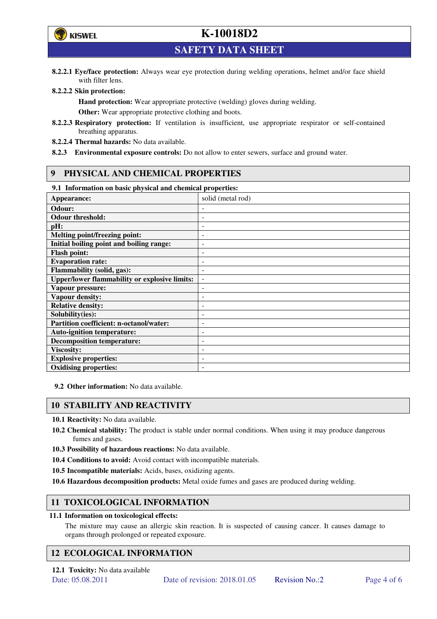

# **K-10018D2**

**SAFETY DATA SHEET** 

**8.2.2.1 Eye/face protection:** Always wear eye protection during welding operations, helmet and/or face shield with filter lens.

#### **8.2.2.2 Skin protection:**

**Hand protection:** Wear appropriate protective (welding) gloves during welding. **Other:** Wear appropriate protective clothing and boots.

- **8.2.2.3 Respiratory protection:** If ventilation is insufficient, use appropriate respirator or self-contained breathing apparatus.
- **8.2.2.4 Thermal hazards:** No data available.
- **8.2.3 Environmental exposure controls:** Do not allow to enter sewers, surface and ground water.

## **9 PHYSICAL AND CHEMICAL PROPERTIES**

### **9.1 Information on basic physical and chemical properties:**

| эт тигериштери он ошис рнужки ини сисписит ргорегием |                          |
|------------------------------------------------------|--------------------------|
| Appearance:                                          | solid (metal rod)        |
| Odour:                                               |                          |
| <b>Odour threshold:</b>                              |                          |
| pH:                                                  |                          |
| <b>Melting point/freezing point:</b>                 | -                        |
| Initial boiling point and boiling range:             | $\overline{a}$           |
| <b>Flash point:</b>                                  |                          |
| <b>Evaporation rate:</b>                             |                          |
| <b>Flammability (solid, gas):</b>                    |                          |
| <b>Upper/lower flammability or explosive limits:</b> | $\overline{\phantom{a}}$ |
| Vapour pressure:                                     | ۰                        |
| Vapour density:                                      |                          |
| <b>Relative density:</b>                             |                          |
| Solubility(ies):                                     |                          |
| Partition coefficient: n-octanol/water:              | $\overline{a}$           |
| <b>Auto-ignition temperature:</b>                    | ۰                        |
| <b>Decomposition temperature:</b>                    |                          |
| <b>Viscosity:</b>                                    |                          |
| <b>Explosive properties:</b>                         | ٠                        |
| <b>Oxidising properties:</b>                         | -                        |
|                                                      |                          |

**9.2 Other information:** No data available.

## **10 STABILITY AND REACTIVITY**

**10.1 Reactivity:** No data available.

- **10.2 Chemical stability:** The product is stable under normal conditions. When using it may produce dangerous fumes and gases.
- **10.3 Possibility of hazardous reactions:** No data available.
- **10.4 Conditions to avoid:** Avoid contact with incompatible materials.
- **10.5 Incompatible materials:** Acids, bases, oxidizing agents.
- **10.6 Hazardous decomposition products:** Metal oxide fumes and gases are produced during welding.

## **11 TOXICOLOGICAL INFORMATION**

#### **11.1 Information on toxicological effects:**

The mixture may cause an allergic skin reaction. It is suspected of causing cancer. It causes damage to organs through prolonged or repeated exposure.

## **12 ECOLOGICAL INFORMATION**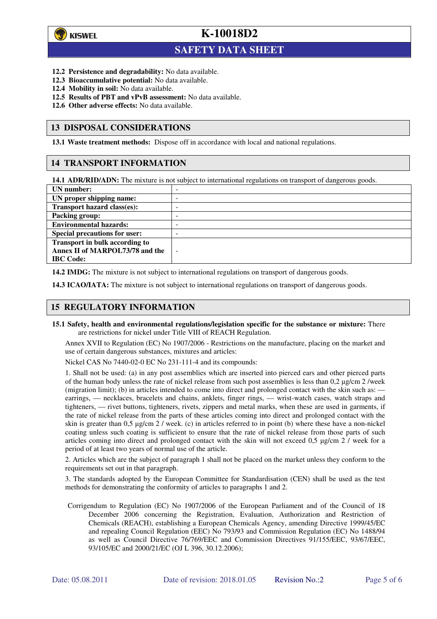

 $\overline{a}$ 

**K-10018D2**

## **SAFETY DATA SHEET**

- **12.2 Persistence and degradability:** No data available.
- **12.3 Bioaccumulative potential:** No data available.
- **12.4 Mobility in soil:** No data available.
- **12.5 Results of PBT and vPvB assessment:** No data available.
- **12.6 Other adverse effects:** No data available.

### **13 DISPOSAL CONSIDERATIONS**

**13.1 Waste treatment methods:** Dispose off in accordance with local and national regulations.

## **14 TRANSPORT INFORMATION**

**14.1 ADR/RID/ADN:** The mixture is not subject to international regulations on transport of dangerous goods.

| UN number:                            | - |
|---------------------------------------|---|
| UN proper shipping name:              | - |
| Transport hazard class(es):           | - |
| <b>Packing group:</b>                 | - |
| <b>Environmental hazards:</b>         | - |
| <b>Special precautions for user:</b>  | - |
| <b>Transport in bulk according to</b> |   |
| Annex II of MARPOL73/78 and the       | - |
| <b>IBC</b> Code:                      |   |

**14.2 IMDG:** The mixture is not subject to international regulations on transport of dangerous goods.

**14.3 ICAO/IATA:** The mixture is not subject to international regulations on transport of dangerous goods.

## **15 REGULATORY INFORMATION**

**15.1 Safety, health and environmental regulations/legislation specific for the substance or mixture:** There are restrictions for nickel under Title VIII of REACH Regulation.

Annex XVII to Regulation (EC) No 1907/2006 - Restrictions on the manufacture, placing on the market and use of certain dangerous substances, mixtures and articles:

Nickel CAS No 7440-02-0 EC No 231-111-4 and its compounds:

1. Shall not be used: (a) in any post assemblies which are inserted into pierced ears and other pierced parts of the human body unless the rate of nickel release from such post assemblies is less than  $0.2 \mu$ g/cm  $2$ /week (migration limit); (b) in articles intended to come into direct and prolonged contact with the skin such as: earrings, — necklaces, bracelets and chains, anklets, finger rings, — wrist-watch cases, watch straps and tighteners, — rivet buttons, tighteners, rivets, zippers and metal marks, when these are used in garments, if the rate of nickel release from the parts of these articles coming into direct and prolonged contact with the skin is greater than 0,5 µg/cm 2 / week. (c) in articles referred to in point (b) where these have a non-nickel coating unless such coating is sufficient to ensure that the rate of nickel release from those parts of such articles coming into direct and prolonged contact with the skin will not exceed 0,5 µg/cm 2 / week for a period of at least two years of normal use of the article.

2. Articles which are the subject of paragraph 1 shall not be placed on the market unless they conform to the requirements set out in that paragraph.

3. The standards adopted by the European Committee for Standardisation (CEN) shall be used as the test methods for demonstrating the conformity of articles to paragraphs 1 and 2.

Corrigendum to Regulation (EC) No 1907/2006 of the European Parliament and of the Council of 18 December 2006 concerning the Registration, Evaluation, Authorization and Restriction of Chemicals (REACH), establishing a European Chemicals Agency, amending Directive 1999/45/EC and repealing Council Regulation (EEC) No 793/93 and Commission Regulation (EC) No 1488/94 as well as Council Directive 76/769/EEC and Commission Directives 91/155/EEC, 93/67/EEC, 93/105/EC and 2000/21/EC (OJ L 396, 30.12.2006);